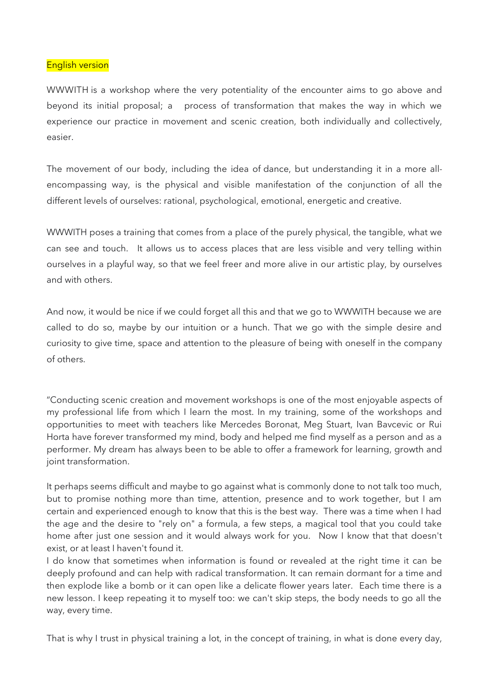## English version

WWWITH is a workshop where the very potentiality of the encounter aims to go above and beyond its initial proposal; a process of transformation that makes the way in which we experience our practice in movement and scenic creation, both individually and collectively, easier.

The movement of our body, including the idea of dance, but understanding it in a more allencompassing way, is the physical and visible manifestation of the conjunction of all the different levels of ourselves: rational, psychological, emotional, energetic and creative.

WWWITH poses a training that comes from a place of the purely physical, the tangible, what we can see and touch. It allows us to access places that are less visible and very telling within ourselves in a playful way, so that we feel freer and more alive in our artistic play, by ourselves and with others.

And now, it would be nice if we could forget all this and that we go to WWWITH because we are called to do so, maybe by our intuition or a hunch. That we go with the simple desire and curiosity to give time, space and attention to the pleasure of being with oneself in the company of others.

"Conducting scenic creation and movement workshops is one of the most enjoyable aspects of my professional life from which I learn the most. In my training, some of the workshops and opportunities to meet with teachers like Mercedes Boronat, Meg Stuart, Ivan Bavcevic or Rui Horta have forever transformed my mind, body and helped me find myself as a person and as a performer. My dream has always been to be able to offer a framework for learning, growth and joint transformation.

It perhaps seems difficult and maybe to go against what is commonly done to not talk too much, but to promise nothing more than time, attention, presence and to work together, but I am certain and experienced enough to know that this is the best way. There was a time when I had the age and the desire to "rely on" a formula, a few steps, a magical tool that you could take home after just one session and it would always work for you. Now I know that that doesn't exist, or at least I haven't found it.

I do know that sometimes when information is found or revealed at the right time it can be deeply profound and can help with radical transformation. It can remain dormant for a time and then explode like a bomb or it can open like a delicate flower years later. Each time there is a new lesson. I keep repeating it to myself too: we can't skip steps, the body needs to go all the way, every time.

That is why I trust in physical training a lot, in the concept of training, in what is done every day,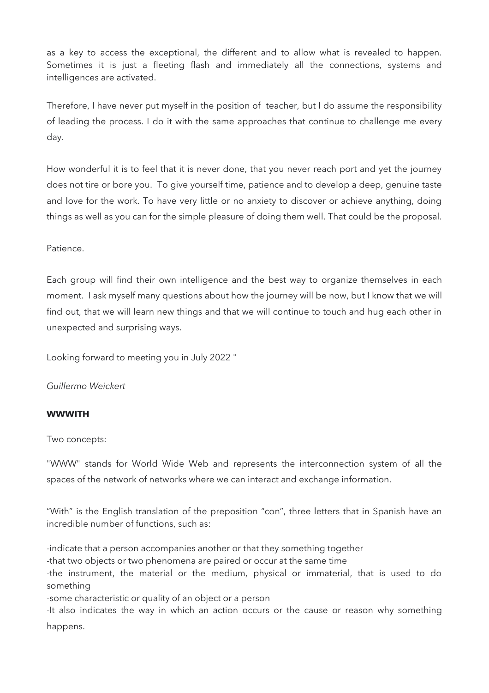as a key to access the exceptional, the different and to allow what is revealed to happen. Sometimes it is just a fleeting flash and immediately all the connections, systems and intelligences are activated.

Therefore, I have never put myself in the position of teacher, but I do assume the responsibility of leading the process. I do it with the same approaches that continue to challenge me every day.

How wonderful it is to feel that it is never done, that you never reach port and yet the journey does not tire or bore you. To give yourself time, patience and to develop a deep, genuine taste and love for the work. To have very little or no anxiety to discover or achieve anything, doing things as well as you can for the simple pleasure of doing them well. That could be the proposal.

Patience.

Each group will find their own intelligence and the best way to organize themselves in each moment. I ask myself many questions about how the journey will be now, but I know that we will find out, that we will learn new things and that we will continue to touch and hug each other in unexpected and surprising ways.

Looking forward to meeting you in July 2022 "

*Guillermo Weickert*

## **WWWITH**

Two concepts:

"WWW" stands for World Wide Web and represents the interconnection system of all the spaces of the network of networks where we can interact and exchange information.

"With" is the English translation of the preposition "con", three letters that in Spanish have an incredible number of functions, such as:

-indicate that a person accompanies another or that they something together -that two objects or two phenomena are paired or occur at the same time -the instrument, the material or the medium, physical or immaterial, that is used to do something -some characteristic or quality of an object or a person -It also indicates the way in which an action occurs or the cause or reason why something

happens.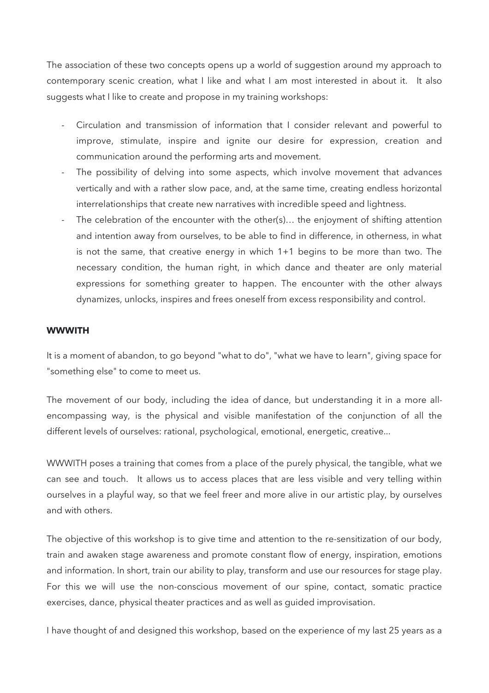The association of these two concepts opens up a world of suggestion around my approach to contemporary scenic creation, what I like and what I am most interested in about it. It also suggests what I like to create and propose in my training workshops:

- Circulation and transmission of information that I consider relevant and powerful to improve, stimulate, inspire and ignite our desire for expression, creation and communication around the performing arts and movement.
- The possibility of delving into some aspects, which involve movement that advances vertically and with a rather slow pace, and, at the same time, creating endless horizontal interrelationships that create new narratives with incredible speed and lightness.
- The celebration of the encounter with the other(s)... the enjoyment of shifting attention and intention away from ourselves, to be able to find in difference, in otherness, in what is not the same, that creative energy in which 1+1 begins to be more than two. The necessary condition, the human right, in which dance and theater are only material expressions for something greater to happen. The encounter with the other always dynamizes, unlocks, inspires and frees oneself from excess responsibility and control.

## **WWWITH**

It is a moment of abandon, to go beyond "what to do", "what we have to learn", giving space for "something else" to come to meet us.

The movement of our body, including the idea of dance, but understanding it in a more allencompassing way, is the physical and visible manifestation of the conjunction of all the different levels of ourselves: rational, psychological, emotional, energetic, creative...

WWWITH poses a training that comes from a place of the purely physical, the tangible, what we can see and touch. It allows us to access places that are less visible and very telling within ourselves in a playful way, so that we feel freer and more alive in our artistic play, by ourselves and with others.

The objective of this workshop is to give time and attention to the re-sensitization of our body, train and awaken stage awareness and promote constant flow of energy, inspiration, emotions and information. In short, train our ability to play, transform and use our resources for stage play. For this we will use the non-conscious movement of our spine, contact, somatic practice exercises, dance, physical theater practices and as well as guided improvisation.

I have thought of and designed this workshop, based on the experience of my last 25 years as a